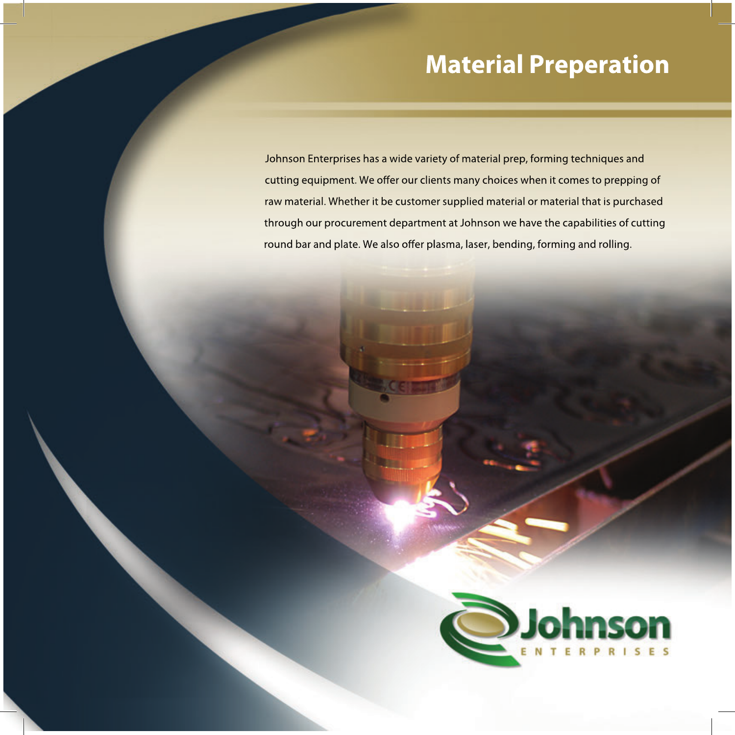## **Material Preperation**

Johnson Enterprises has a wide variety of material prep, forming techniques and cutting equipment. We offer our clients many choices when it comes to prepping of raw material. Whether it be customer supplied material or material that is purchased through our procurement department at Johnson we have the capabilities of cutting round bar and plate. We also offer plasma, laser, bending, forming and rolling.